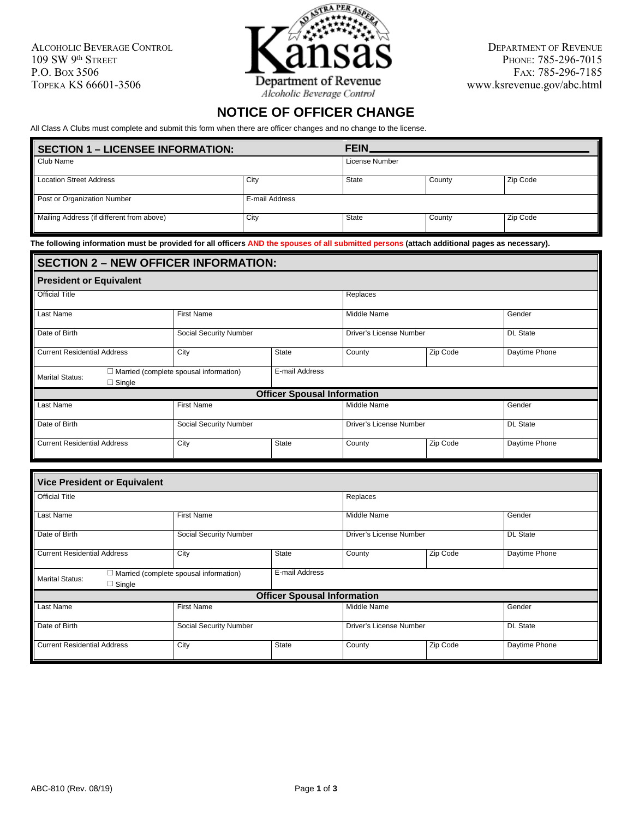ALCOHOLIC BEVERAGE CONTROL 109 SW 9th STREET P.O. BOX 3506 TOPEKA KS 66601-3506



DEPARTMENT OF REVENUE PHONE: 785-296-7015 FAX: 785-296-7185 www.ksrevenue.gov/abc.html

## **NOTICE OF OFFICER CHANGE**

All Class A Clubs must complete and submit this form when there are officer changes and no change to the license.

| <b>SECTION 1 – LICENSEE INFORMATION:</b>  |                | <b>FEIN</b>    |        |          |
|-------------------------------------------|----------------|----------------|--------|----------|
| Club Name                                 |                | License Number |        |          |
| <b>Location Street Address</b>            | City           | State          | County | Zip Code |
| Post or Organization Number               | E-mail Address |                |        |          |
| Mailing Address (if different from above) | City           | State          | County | Zip Code |

**The following information must be provided for all officers AND the spouses of all submitted persons (attach additional pages as necessary).**

## **SECTION 2 – NEW OFFICER INFORMATION: President or Equivalent** Official Title Replaces Last Name | First Name Middle Name | Gender Date of Birth Social Security Number Driver's License Number Driver's License Number DL State Current Residential Address City City State County Zip Code Daytime Phone Marital Status: ☐ Married (complete spousal information) □ Single E-mail Address **Officer Spousal Information** Last Name | First Name Middle Name | Gender Date of Birth Social Security Number Driver's License Number Driver's License Number DL State Current Residential Address City City State County Zip Code Daytime Phone

| <b>Vice President or Equivalent</b>     |                                                                 |              |                         |          |                 |  |
|-----------------------------------------|-----------------------------------------------------------------|--------------|-------------------------|----------|-----------------|--|
| <b>Official Title</b>                   |                                                                 |              | Replaces                |          |                 |  |
| Last Name                               | <b>First Name</b>                                               |              | Middle Name             |          | Gender          |  |
| Date of Birth                           | Social Security Number                                          |              | Driver's License Number |          | <b>DL</b> State |  |
| <b>Current Residential Address</b>      | City                                                            | <b>State</b> |                         | Zip Code | Daytime Phone   |  |
| <b>Marital Status:</b><br>$\Box$ Single | E-mail Address<br>$\Box$ Married (complete spousal information) |              |                         |          |                 |  |
|                                         | <b>Officer Spousal Information</b>                              |              |                         |          |                 |  |
| Last Name                               | <b>First Name</b>                                               |              | Middle Name             |          | Gender          |  |
| Date of Birth                           | Social Security Number                                          |              | Driver's License Number |          | <b>DL</b> State |  |
| <b>Current Residential Address</b>      | City                                                            | <b>State</b> | County                  | Zip Code | Daytime Phone   |  |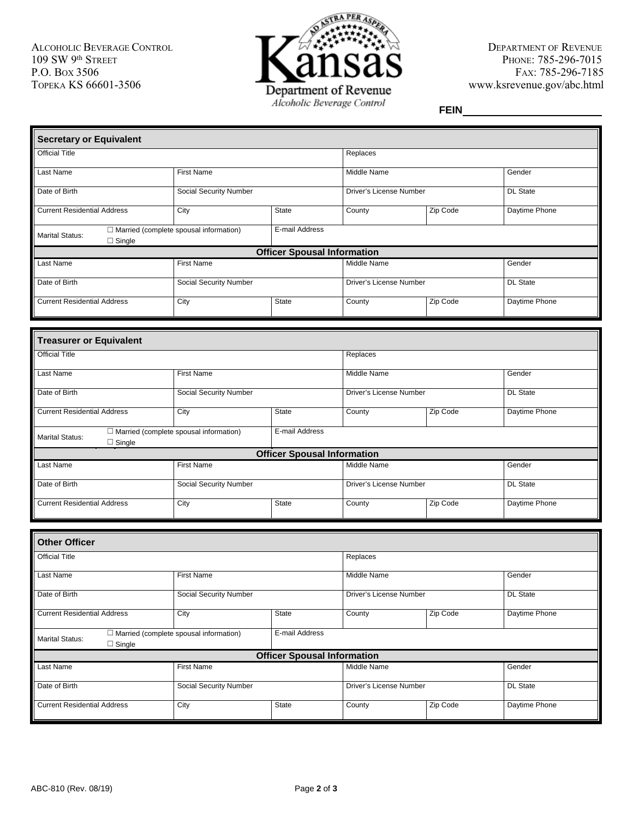ALCOHOLIC BEVERAGE CONTROL 109 SW 9th STREET P.O. BOX 3506 TOPEKA KS 66601-3506



DEPARTMENT OF REVENUE PHONE: 785-296-7015 FAX: 785-296-7185 www.ksrevenue.gov/abc.html

**FEIN**

| Secretary or Equivalent                 |                                                                 |                                    |                         |          |                 |  |  |
|-----------------------------------------|-----------------------------------------------------------------|------------------------------------|-------------------------|----------|-----------------|--|--|
| <b>Official Title</b>                   |                                                                 |                                    | Replaces                |          |                 |  |  |
| Last Name                               | <b>First Name</b>                                               |                                    | Middle Name             |          | Gender          |  |  |
| Date of Birth                           | Social Security Number                                          |                                    | Driver's License Number |          | <b>DL State</b> |  |  |
| Current Residential Address             | City                                                            | State                              |                         | Zip Code | Daytime Phone   |  |  |
| <b>Marital Status:</b><br>$\Box$ Single | E-mail Address<br>$\Box$ Married (complete spousal information) |                                    |                         |          |                 |  |  |
|                                         |                                                                 | <b>Officer Spousal Information</b> |                         |          |                 |  |  |
| Last Name                               | <b>First Name</b>                                               |                                    | Middle Name             |          | Gender          |  |  |
| Date of Birth                           | Social Security Number                                          |                                    | Driver's License Number |          | <b>DL State</b> |  |  |
| <b>Current Residential Address</b>      | <b>State</b><br>City                                            |                                    | County                  | Zip Code | Daytime Phone   |  |  |

| <b>Treasurer or Equivalent</b>          |                                                                 |                                    |                         |          |                 |  |
|-----------------------------------------|-----------------------------------------------------------------|------------------------------------|-------------------------|----------|-----------------|--|
| <b>Official Title</b>                   |                                                                 |                                    | Replaces                |          |                 |  |
| Last Name                               | <b>First Name</b>                                               |                                    | Middle Name             |          | Gender          |  |
| Date of Birth                           | Social Security Number                                          |                                    | Driver's License Number |          | <b>DL</b> State |  |
| <b>Current Residential Address</b>      | City                                                            | <b>State</b>                       | County                  | Zip Code | Daytime Phone   |  |
| <b>Marital Status:</b><br>$\Box$ Single | E-mail Address<br>$\Box$ Married (complete spousal information) |                                    |                         |          |                 |  |
|                                         |                                                                 | <b>Officer Spousal Information</b> |                         |          |                 |  |
| Last Name                               | <b>First Name</b>                                               |                                    | Middle Name             |          | Gender          |  |
| Date of Birth                           | Social Security Number                                          |                                    | Driver's License Number |          | <b>DL</b> State |  |
| <b>Current Residential Address</b>      | City                                                            | <b>State</b>                       | County                  | Zip Code | Daytime Phone   |  |

| <b>Other Officer</b>                                                                     |                        |                                    |                         |                         |                 |  |
|------------------------------------------------------------------------------------------|------------------------|------------------------------------|-------------------------|-------------------------|-----------------|--|
| <b>Official Title</b>                                                                    |                        |                                    | Replaces                |                         |                 |  |
| Last Name                                                                                | <b>First Name</b>      |                                    | Middle Name             |                         | Gender          |  |
| Date of Birth                                                                            | Social Security Number |                                    |                         | Driver's License Number |                 |  |
| <b>Current Residential Address</b>                                                       | City                   | <b>State</b>                       | Zip Code<br>County      |                         | Daytime Phone   |  |
| $\Box$ Married (complete spousal information)<br><b>Marital Status:</b><br>$\Box$ Single |                        | E-mail Address                     |                         |                         |                 |  |
|                                                                                          |                        | <b>Officer Spousal Information</b> |                         |                         |                 |  |
| Last Name                                                                                | <b>First Name</b>      |                                    | Middle Name             |                         | Gender          |  |
| Date of Birth                                                                            | Social Security Number |                                    | Driver's License Number |                         | <b>DL State</b> |  |
| <b>Current Residential Address</b>                                                       | City                   | State                              | County                  | Zip Code                | Daytime Phone   |  |